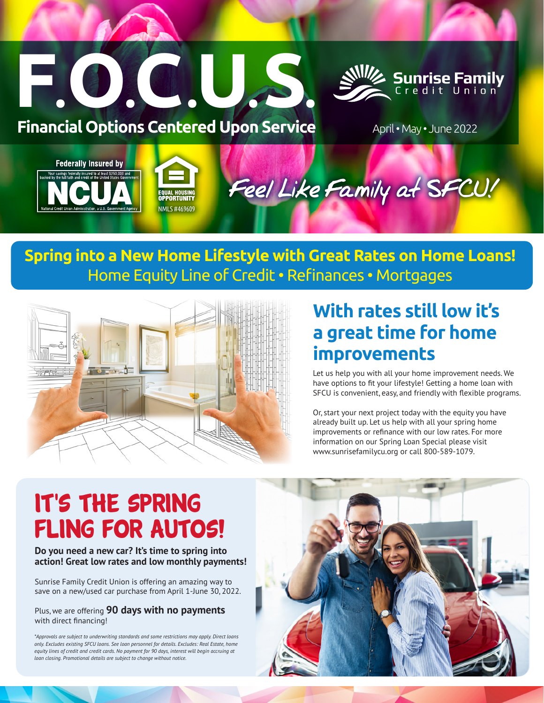



**Financial Options Centered Upon Service** April • May • June 2022

# **Federally Insured by** Feel Like Family at SFCU! NMI S #469609

## **Spring into a New Home Lifestyle with Great Rates on Home Loans!** Home Equity Line of Credit • Refinances • Mortgages



## **With rates still low it's a great time for home improvements**

Let us help you with all your home improvement needs. We have options to fit your lifestyle! Getting a home loan with SFCU is convenient, easy, and friendly with flexible programs.

Or, start your next project today with the equity you have already built up. Let us help with all your spring home improvements or refinance with our low rates. For more information on our Spring Loan Special please visit www.sunrisefamilycu.org or call 800-589-1079.

# IT'S THE SPRING Fling for Autos!

## **Do you need a new car? It's time to spring into action! Great low rates and low monthly payments!**

Sunrise Family Credit Union is offering an amazing way to save on a new/used car purchase from April 1-June 30, 2022.

Plus, we are offering **90 days with no payments** with direct financing!

*\*Approvals are subject to underwriting standards and some restrictions may apply. Direct loans only. Excludes existing SFCU loans. See loan personnel for details. Excludes: Real Estate, home equity lines of credit and credit cards. No payment for 90 days, interest will begin accruing at loan closing. Promotional details are subject to change without notice.*